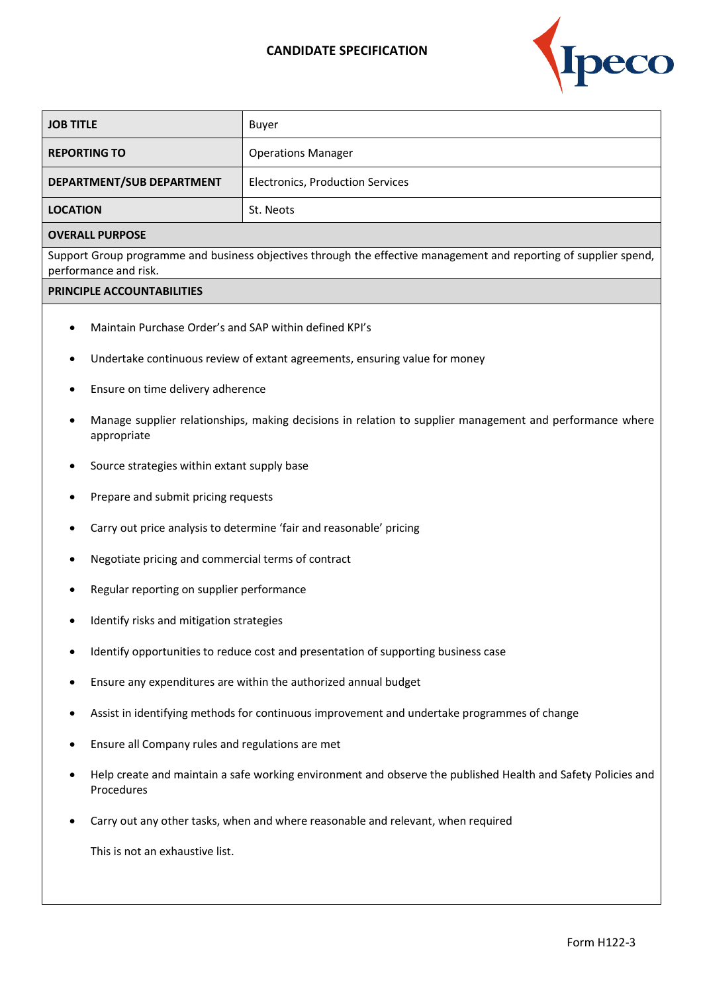## **CANDIDATE SPECIFICATION**



| <b>JOB TITLE</b>          | Buyer                                   |
|---------------------------|-----------------------------------------|
| <b>REPORTING TO</b>       | <b>Operations Manager</b>               |
| DEPARTMENT/SUB DEPARTMENT | <b>Electronics, Production Services</b> |
| <b>LOCATION</b>           | St. Neots                               |

## **OVERALL PURPOSE**

Support Group programme and business objectives through the effective management and reporting of supplier spend, performance and risk.

## **PRINCIPLE ACCOUNTABILITIES**

- Maintain Purchase Order's and SAP within defined KPI's
- Undertake continuous review of extant agreements, ensuring value for money
- Ensure on time delivery adherence
- Manage supplier relationships, making decisions in relation to supplier management and performance where appropriate
- Source strategies within extant supply base
- Prepare and submit pricing requests
- Carry out price analysis to determine 'fair and reasonable' pricing
- Negotiate pricing and commercial terms of contract
- Regular reporting on supplier performance
- Identify risks and mitigation strategies
- Identify opportunities to reduce cost and presentation of supporting business case
- Ensure any expenditures are within the authorized annual budget
- Assist in identifying methods for continuous improvement and undertake programmes of change
- Ensure all Company rules and regulations are met
- Help create and maintain a safe working environment and observe the published Health and Safety Policies and Procedures
- Carry out any other tasks, when and where reasonable and relevant, when required

This is not an exhaustive list.